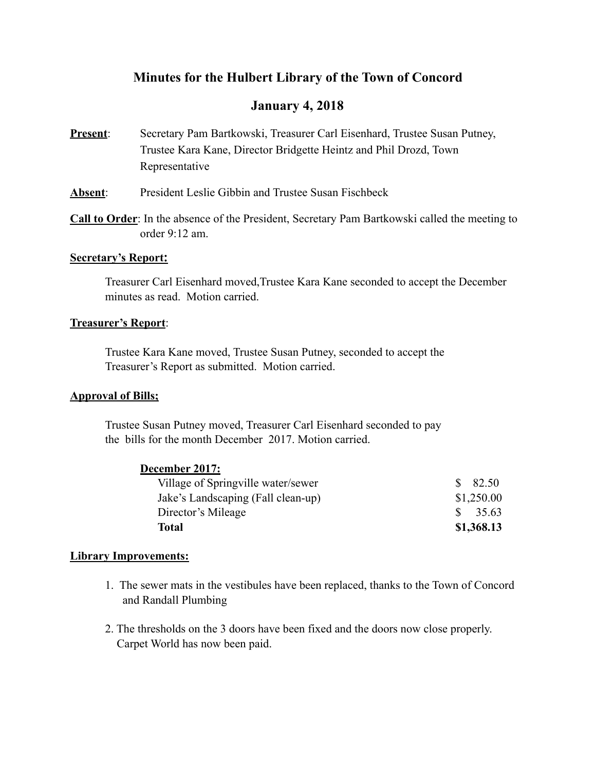# **Minutes for the Hulbert Library of the Town of Concord**

# **January 4, 2018**

- **Present**: Secretary Pam Bartkowski, Treasurer Carl Eisenhard, Trustee Susan Putney, Trustee Kara Kane, Director Bridgette Heintz and Phil Drozd, Town Representative
- **Absent**: President Leslie Gibbin and Trustee Susan Fischbeck
- **Call to Order**: In the absence of the President, Secretary Pam Bartkowski called the meeting to order 9:12 am.

### **Secretary's Report:**

 Treasurer Carl Eisenhard moved,Trustee Kara Kane seconded to accept the December minutes as read. Motion carried.

### **Treasurer's Report**:

 Trustee Kara Kane moved, Trustee Susan Putney, seconded to accept the Treasurer's Report as submitted. Motion carried.

# **Approval of Bills;**

 Trustee Susan Putney moved, Treasurer Carl Eisenhard seconded to pay the bills for the month December 2017. Motion carried.

# **December 2017:**

| Village of Springville water/sewer | $\$\,82.50$        |
|------------------------------------|--------------------|
| Jake's Landscaping (Fall clean-up) | \$1,250.00         |
| Director's Mileage                 | $\frac{\$}{35.63}$ |
| Total                              | \$1,368.13         |

# **Library Improvements:**

- 1. The sewer mats in the vestibules have been replaced, thanks to the Town of Concord and Randall Plumbing
- 2. The thresholds on the 3 doors have been fixed and the doors now close properly. Carpet World has now been paid.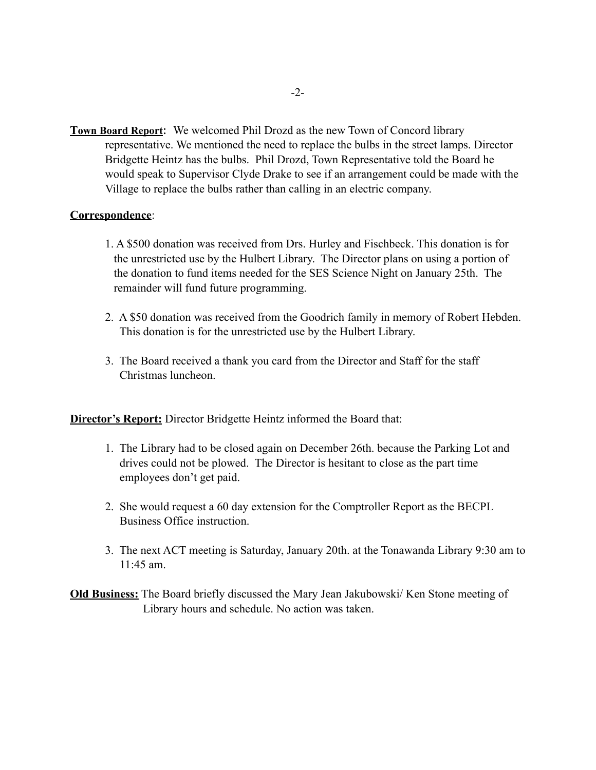**Town Board Report**: We welcomed Phil Drozd as the new Town of Concord library representative. We mentioned the need to replace the bulbs in the street lamps. Director Bridgette Heintz has the bulbs. Phil Drozd, Town Representative told the Board he would speak to Supervisor Clyde Drake to see if an arrangement could be made with the Village to replace the bulbs rather than calling in an electric company.

#### **Correspondence**:

- 1. A \$500 donation was received from Drs. Hurley and Fischbeck. This donation is for the unrestricted use by the Hulbert Library. The Director plans on using a portion of the donation to fund items needed for the SES Science Night on January 25th. The remainder will fund future programming.
- 2. A \$50 donation was received from the Goodrich family in memory of Robert Hebden. This donation is for the unrestricted use by the Hulbert Library.
- 3. The Board received a thank you card from the Director and Staff for the staff Christmas luncheon.

**Director's Report:** Director Bridgette Heintz informed the Board that:

- 1. The Library had to be closed again on December 26th. because the Parking Lot and drives could not be plowed. The Director is hesitant to close as the part time employees don't get paid.
- 2. She would request a 60 day extension for the Comptroller Report as the BECPL Business Office instruction.
- 3. The next ACT meeting is Saturday, January 20th. at the Tonawanda Library 9:30 am to  $11:45$  am.

**Old Business:** The Board briefly discussed the Mary Jean Jakubowski/ Ken Stone meeting of Library hours and schedule. No action was taken.